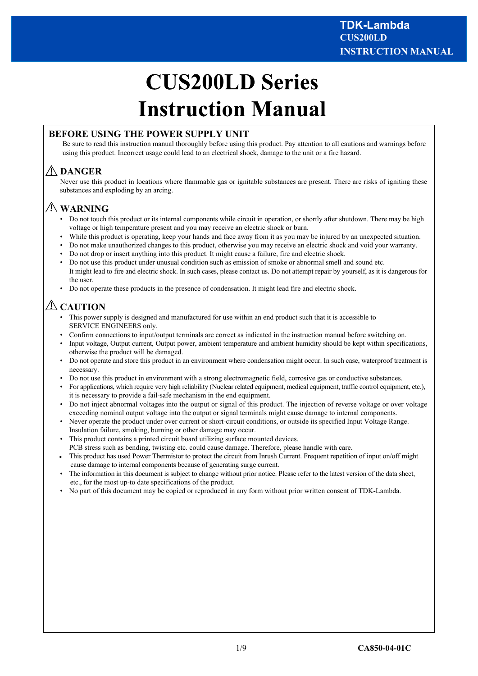# **CUS200LD Series Instruction Manual**

# **BEFORE USING THE POWER SUPPLY UNIT**

Be sure to read this instruction manual thoroughly before using this product. Pay attention to all cautions and warnings before using this product. Incorrect usage could lead to an electrical shock, damage to the unit or a fire hazard.

# **DANGER**

Never use this product in locations where flammable gas or ignitable substances are present. There are risks of igniting these substances and exploding by an arcing.

# **WARNING**

- Do not touch this product or its internal components while circuit in operation, or shortly after shutdown. There may be high voltage or high temperature present and you may receive an electric shock or burn.
- While this product is operating, keep your hands and face away from it as you may be injured by an unexpected situation.
- Do not make unauthorized changes to this product, otherwise you may receive an electric shock and void your warranty.
- Do not drop or insert anything into this product. It might cause a failure, fire and electric shock.
- Do not use this product under unusual condition such as emission of smoke or abnormal smell and sound etc. It might lead to fire and electric shock. In such cases, please contact us. Do not attempt repair by yourself, as it is dangerous for the user.
- Do not operate these products in the presence of condensation. It might lead fire and electric shock.

# *A***CAUTION**

- This power supply is designed and manufactured for use within an end product such that it is accessible to SERVICE ENGINEERS only.
- Confirm connections to input/output terminals are correct as indicated in the instruction manual before switching on.
- Input voltage, Output current, Output power, ambient temperature and ambient humidity should be kept within specifications, otherwise the product will be damaged.
- Do not operate and store this product in an environment where condensation might occur. In such case, waterproof treatment is necessary.
- Do not use this product in environment with a strong electromagnetic field, corrosive gas or conductive substances.
- For applications, which require very high reliability (Nuclear related equipment, medical equipment, traffic control equipment, etc.), it is necessary to provide a fail-safe mechanism in the end equipment.
- Do not inject abnormal voltages into the output or signal of this product. The injection of reverse voltage or over voltage exceeding nominal output voltage into the output or signal terminals might cause damage to internal components.
- Never operate the product under over current or short-circuit conditions, or outside its specified Input Voltage Range. Insulation failure, smoking, burning or other damage may occur.
- This product contains a printed circuit board utilizing surface mounted devices. PCB stress such as bending, twisting etc. could cause damage. Therefore, please handle with care.
- This product has used Power Thermistor to protect the circuit from Inrush Current. Frequent repetition of input on/off might cause damage to internal components because of generating surge current.
- The information in this document is subject to change without prior notice. Please refer to the latest version of the data sheet, etc., for the most up-to date specifications of the product.
- No part of this document may be copied or reproduced in any form without prior written consent of TDK-Lambda.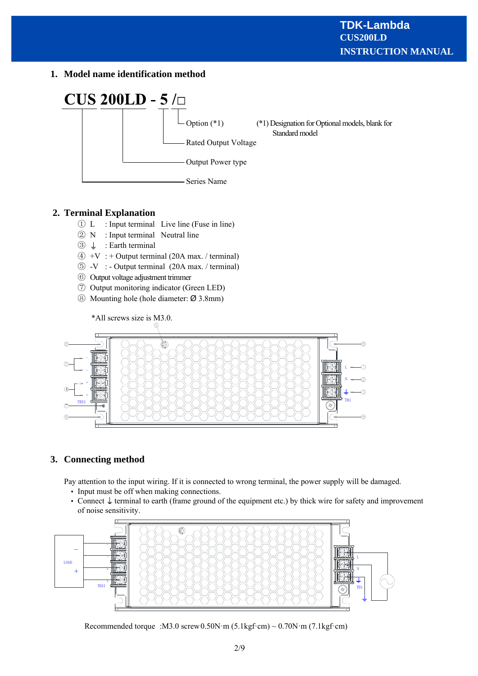**1. Model name identification method**



# **2. Terminal Explanation**

- ① L : Input terminal Live line (Fuse in line)
- ② N : Input terminal Neutral line
- $\circled{3} \perp$  : Earth terminal
- $\overline{4}$  +V : + Output terminal (20A max. / terminal)
- ⑤ -V : Output terminal (20A max. / terminal)
- ⑥ Output voltage adjustment trimmer
- ⑦ Output monitoring indicator (Green LED)
- ⑧ Mounting hole (hole diameter: Ø 3.8mm)



# **3. Connecting method**

Pay attention to the input wiring. If it is connected to wrong terminal, the power supply will be damaged.

- Input must be off when making connections.
- Connect  $\downarrow$  terminal to earth (frame ground of the equipment etc.) by thick wire for safety and improvement of noise sensitivity.



Recommended torque :M3.0 screw0.50N·m (5.1kgf·cm) ~ 0.70N·m (7.1kgf·cm)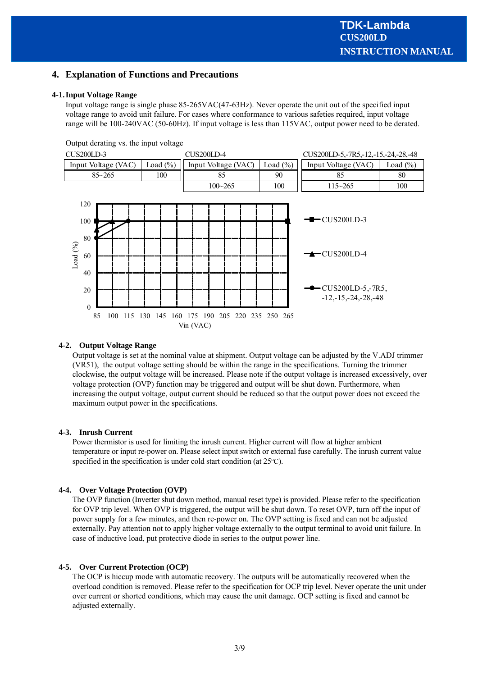## **4. Explanation of Functions and Precautions**

#### **4-1.Input Voltage Range**

Input voltage range is single phase 85-265VAC(47-63Hz). Never operate the unit out of the specified input voltage range to avoid unit failure. For cases where conformance to various safeties required, input voltage range will be 100-240VAC (50-60Hz). If input voltage is less than 115VAC, output power need to be derated.

Output derating vs. the input voltage



#### **4-2. Output Voltage Range**

Output voltage is set at the nominal value at shipment. Output voltage can be adjusted by the V.ADJ trimmer (VR51), the output voltage setting should be within the range in the specifications. Turning the trimmer clockwise, the output voltage will be increased. Please note if the output voltage is increased excessively, over voltage protection (OVP) function may be triggered and output will be shut down. Furthermore, when increasing the output voltage, output current should be reduced so that the output power does not exceed the maximum output power in the specifications.

#### **4-3. Inrush Current**

Power thermistor is used for limiting the inrush current. Higher current will flow at higher ambient temperature or input re-power on. Please select input switch or external fuse carefully. The inrush current value specified in the specification is under cold start condition (at 25℃).

#### **4-4. Over Voltage Protection (OVP)**

The OVP function (Inverter shut down method, manual reset type) is provided. Please refer to the specification for OVP trip level. When OVP is triggered, the output will be shut down. To reset OVP, turn off the input of power supply for a few minutes, and then re-power on. The OVP setting is fixed and can not be adjusted externally. Pay attention not to apply higher voltage externally to the output terminal to avoid unit failure. In case of inductive load, put protective diode in series to the output power line.

#### **4-5. Over Current Protection (OCP)**

The OCP is hiccup mode with automatic recovery. The outputs will be automatically recovered when the overload condition is removed. Please refer to the specification for OCP trip level. Never operate the unit under over current or shorted conditions, which may cause the unit damage. OCP setting is fixed and cannot be adjusted externally.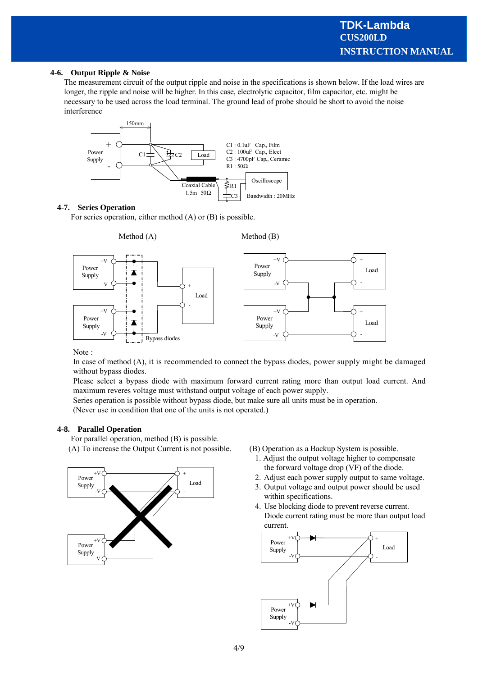#### **4-6. Output Ripple & Noise**

The measurement circuit of the output ripple and noise in the specifications is shown below. If the load wires are longer, the ripple and noise will be higher. In this case, electrolytic capacitor, film capacitor, etc. might be necessary to be used across the load terminal. The ground lead of probe should be short to avoid the noise interference



#### **4-7. Series Operation**

For series operation, either method (A) or (B) is possible.



Note :

In case of method (A), it is recommended to connect the bypass diodes, power supply might be damaged without bypass diodes.

Please select a bypass diode with maximum forward current rating more than output load current. And maximum reveres voltage must withstand output voltage of each power supply.

Series operation is possible without bypass diode, but make sure all units must be in operation.

(Never use in condition that one of the units is not operated.)

#### **4-8. Parallel Operation**

For parallel operation, method (B) is possible.



- (A) To increase the Output Current is not possible. (B) Operation as a Backup System is possible.
	- 1. Adjust the output voltage higher to compensate the forward voltage drop (VF) of the diode.
	- 2. Adjust each power supply output to same voltage.
	- 3. Output voltage and output power should be used within specifications.
	- 4. Use blocking diode to prevent reverse current. Diode current rating must be more than output load current.

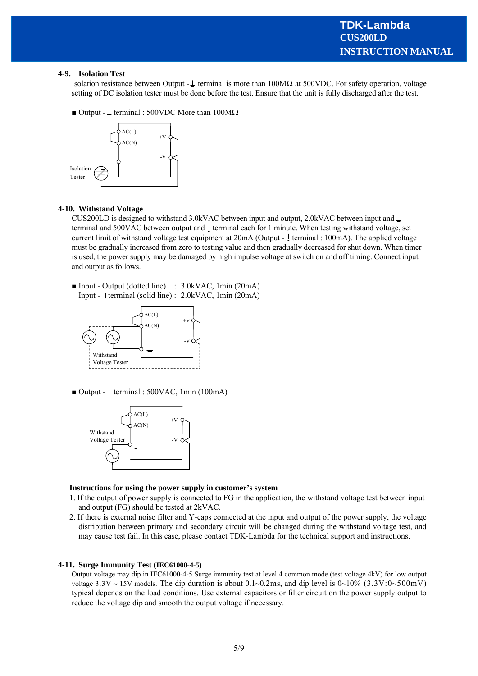#### **4-9. Isolation Test**

Isolation resistance between Output -  $\perp$  terminal is more than 100MΩ at 500VDC. For safety operation, voltage setting of DC isolation tester must be done before the test. Ensure that the unit is fully discharged after the test.

 $\blacksquare$  Output -  $\perp$  terminal : 500VDC More than 100M $\Omega$ 



#### **4-10. Withstand Voltage**

CUS200LD is designed to withstand 3.0kVAC between input and output, 2.0kVAC between input and  $\perp$ terminal and 500VAC between output and  $\perp$  terminal each for 1 minute. When testing withstand voltage, set current limit of withstand voltage test equipment at 20mA (Output -  $\frac{1}{2}$  terminal : 100mA). The applied voltage must be gradually increased from zero to testing value and then gradually decreased for shut down. When timer is used, the power supply may be damaged by high impulse voltage at switch on and off timing. Connect input and output as follows.

■ Input - Output (dotted line) : 3.0kVAC, 1min (20mA) Input -  $\bot$ terminal (solid line) : 2.0kVAC, 1min (20mA)



 $\blacksquare$  Output -  $\perp$  terminal : 500VAC, 1min (100mA)



#### **Instructions for using the power supply in customer's system**

- 1. If the output of power supply is connected to FG in the application, the withstand voltage test between input and output (FG) should be tested at 2kVAC.
- 2. If there is external noise filter and Y-caps connected at the input and output of the power supply, the voltage distribution between primary and secondary circuit will be changed during the withstand voltage test, and may cause test fail. In this case, please contact TDK-Lambda for the technical support and instructions.

#### **4-11. Surge Immunity Test (IEC61000-4-5)**

Output voltage may dip in IEC61000-4-5 Surge immunity test at level 4 common mode (test voltage 4kV) for low output voltage 3.3V ~ 15V models. The dip duration is about  $0.1 \sim 0.2$  ms, and dip level is  $0 \sim 10\%$  (3.3V: $0 \sim 500$  mV) typical depends on the load conditions. Use external capacitors or filter circuit on the power supply output to reduce the voltage dip and smooth the output voltage if necessary.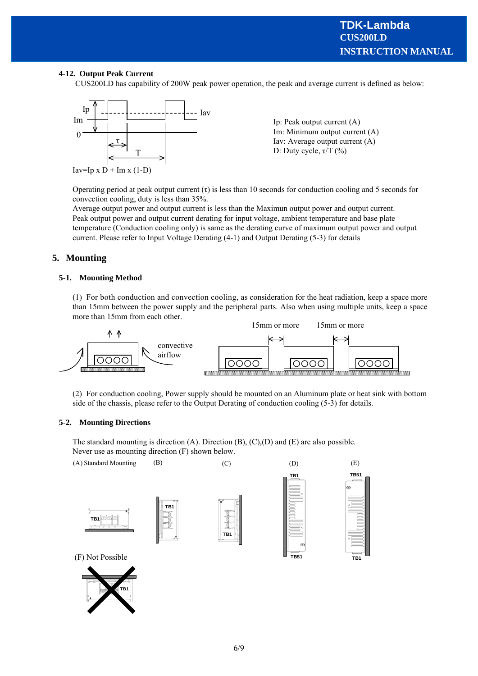#### **4-12. Output Peak Current**

CUS200LD has capability of 200W peak power operation, the peak and average current is defined as below:



Operating period at peak output current  $(\tau)$  is less than 10 seconds for conduction cooling and 5 seconds for convection cooling, duty is less than 35%.

Average output power and output current is less than the Maximun output power and output current. Peak output power and output current derating for input voltage, ambient temperature and base plate temperature (Conduction cooling only) is same as the derating curve of maximum output power and output current. Please refer to Input Voltage Derating (4-1) and Output Derating (5-3) for details

## **5. Mounting**

#### **5-1. Mounting Method**

(1) For both conduction and convection cooling, as consideration for the heat radiation, keep a space more than 15mm between the power supply and the peripheral parts. Also when using multiple units, keep a space more than 15mm from each other.



(2) For conduction cooling, Power supply should be mounted on an Aluminum plate or heat sink with bottom side of the chassis, please refer to the Output Derating of conduction cooling (5-3) for details.

#### **5-2. Mounting Directions**

The standard mounting is direction (A). Direction  $(B)$ ,  $(C)$ ,  $(D)$  and  $(E)$  are also possible. Never use as mounting direction (F) shown below.

(A) Standard Mounting (B) (C) (D) (E)









**TB1**

(F) Not Possible

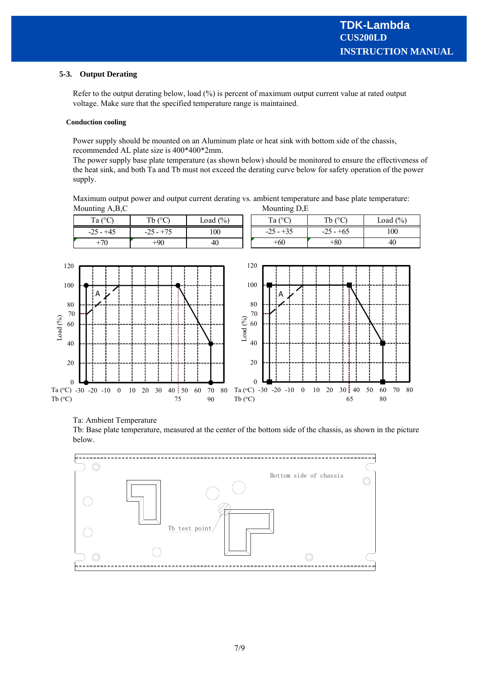#### **5-3. Output Derating**

Refer to the output derating below, load (%) is percent of maximum output current value at rated output voltage. Make sure that the specified temperature range is maintained.

#### **Conduction cooling**

Power supply should be mounted on an Aluminum plate or heat sink with bottom side of the chassis, recommended AL plate size is 400\*400\*2mm.

The power supply base plate temperature (as shown below) should be monitored to ensure the effectiveness of the heat sink, and both Ta and Tb must not exceed the derating curve below for safety operation of the power supply.

Maximum output power and output current derating vs. ambient temperature and base plate temperature: Mounting A,B,C Mounting D,E



#### Ta: Ambient Temperature

Tb: Base plate temperature, measured at the center of the bottom side of the chassis, as shown in the picture below.

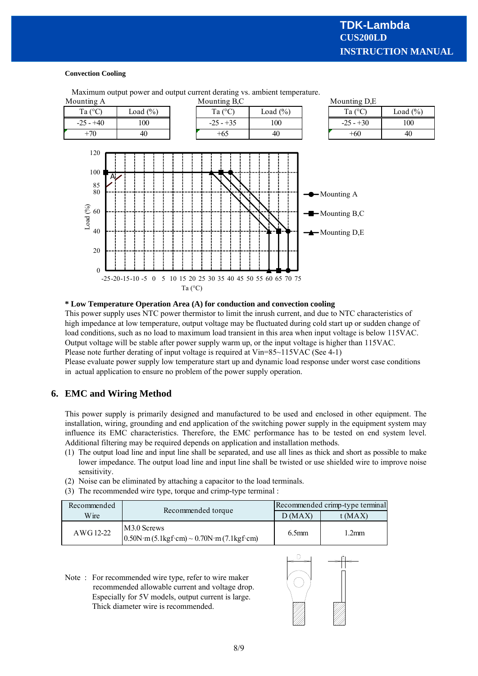#### **Convection Cooling**



Maximum output power and output current derating vs. ambient temperature.

#### **\* Low Temperature Operation Area (A) for conduction and convection cooling**

This power supply uses NTC power thermistor to limit the inrush current, and due to NTC characteristics of high impedance at low temperature, output voltage may be fluctuated during cold start up or sudden change of load conditions, such as no load to maximum load transient in this area when input voltage is below 115VAC. Output voltage will be stable after power supply warm up, or the input voltage is higher than 115VAC. Please note further derating of input voltage is required at Vin=85~115VAC (See 4-1)

Please evaluate power supply low temperature start up and dynamic load response under worst case conditions in actual application to ensure no problem of the power supply operation.

# **6. EMC and Wiring Method**

This power supply is primarily designed and manufactured to be used and enclosed in other equipment. The installation, wiring, grounding and end application of the switching power supply in the equipment system may influence its EMC characteristics. Therefore, the EMC performance has to be tested on end system level. Additional filtering may be required depends on application and installation methods.

- (1) The output load line and input line shall be separated, and use all lines as thick and short as possible to make lower impedance. The output load line and input line shall be twisted or use shielded wire to improve noise sensitivity.
- (2) Noise can be eliminated by attaching a capacitor to the load terminals.
- (3) The recommended wire type, torque and crimp-type terminal :

| Recommended | Recommended torque                                                                                                              | Recommended crimp-type terminal |         |  |
|-------------|---------------------------------------------------------------------------------------------------------------------------------|---------------------------------|---------|--|
| Wire.       |                                                                                                                                 | D(MAX)                          | t (MAX) |  |
| AWG 12-22   | M <sub>3.0</sub> Screws<br>$0.50N \cdot m (5.1 \text{kgf} \cdot \text{cm}) \sim 0.70N \cdot m (7.1 \text{kgf} \cdot \text{cm})$ | 6.5 <sub>mm</sub>               | 2mm     |  |

Note : For recommended wire type, refer to wire maker recommended allowable current and voltage drop. Especially for 5V models, output current is large. Thick diameter wire is recommended.